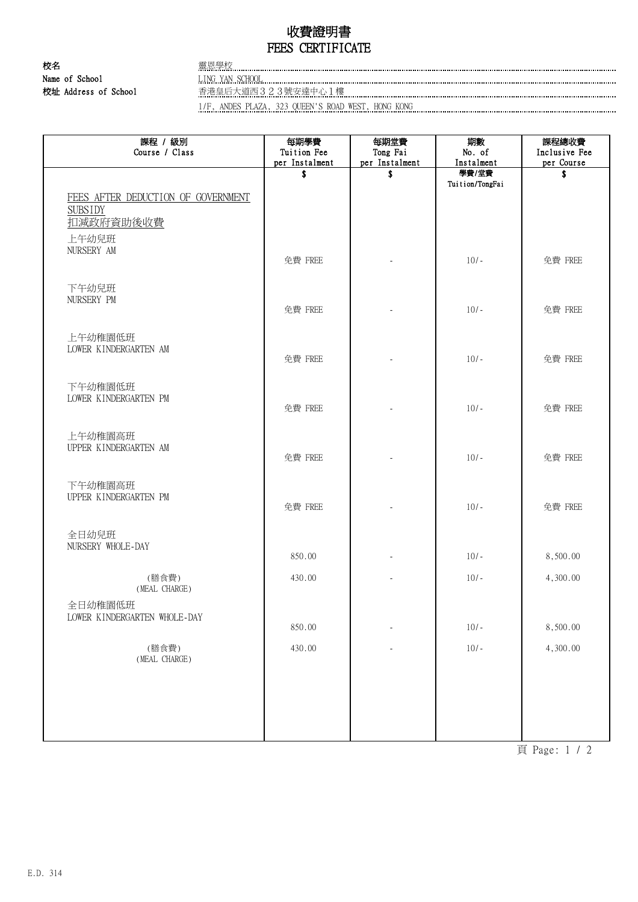## 收費證明書 FEES CERTIFICATE

校名 ファイル エコピング スタッチ 露恩學校 ........... Name of School **LING YAN SCHOOL LING YAN SCHOOL LING YAN SCHOOL** 校址 Address of School 香港皇后大道西323號安達中心1樓

1/F, ANDES PLAZA, 323 QUEEN'S ROAD WEST, HONG KONG

| 課程 / 級別<br>Course / Class                                                    | 每期學費<br>Tuition Fee<br>per Instalment | 每期堂費<br>Tong Fai<br>per Instalment | 期數<br>No. of<br>Instalment | 課程總收費<br>Inclusive Fee<br>per Course |
|------------------------------------------------------------------------------|---------------------------------------|------------------------------------|----------------------------|--------------------------------------|
|                                                                              | \$                                    | \$                                 | 學費/堂費                      | \$                                   |
| FEES AFTER DEDUCTION OF GOVERNMENT<br><b>SUBSIDY</b><br>扣减政府資助後收費<br>上午幼兒班   |                                       |                                    | Tuition/TongFai            |                                      |
| NURSERY AM                                                                   | 免費 FREE                               |                                    | $10/-$                     | 免費 FREE                              |
| 下午幼兒班<br>NURSERY PM                                                          | 免費 FREE                               |                                    | $10/-$                     | 免費 FREE                              |
| 上午幼稚園低班<br>LOWER KINDERGARTEN AM                                             | 免費 FREE                               |                                    | $10/-$                     | 免費 FREE                              |
| 下午幼稚園低班<br>LOWER KINDERGARTEN PM                                             | 免費 FREE                               |                                    | $10/-$                     | 免費 FREE                              |
| 上午幼稚園高班<br>UPPER KINDERGARTEN AM                                             | 免費 FREE                               |                                    | $10/-$                     | 免費 FREE                              |
| 下午幼稚園高班<br>UPPER KINDERGARTEN PM                                             | 免費 FREE                               |                                    | $10/-$                     | 免費 FREE                              |
| 全日幼兒班<br>NURSERY WHOLE-DAY                                                   | 850.00                                |                                    | $10/-$                     | 8,500.00                             |
| (膳食費)                                                                        | 430.00                                |                                    | $10/-$                     | 4,300.00                             |
| (MEAL CHARGE)<br>全日幼稚園低班<br>LOWER KINDERGARTEN WHOLE-DAY                     | 850.00                                |                                    | $10/-$                     | 8,500.00                             |
| (膳食費)<br>$(\operatorname{\texttt{MEAL}}\,$ $\operatorname{\texttt{CHARGE}})$ | 430.00                                |                                    | $10/-$                     | 4,300.00                             |
|                                                                              |                                       |                                    |                            |                                      |
|                                                                              |                                       |                                    |                            |                                      |

頁 Page: 1 / 2